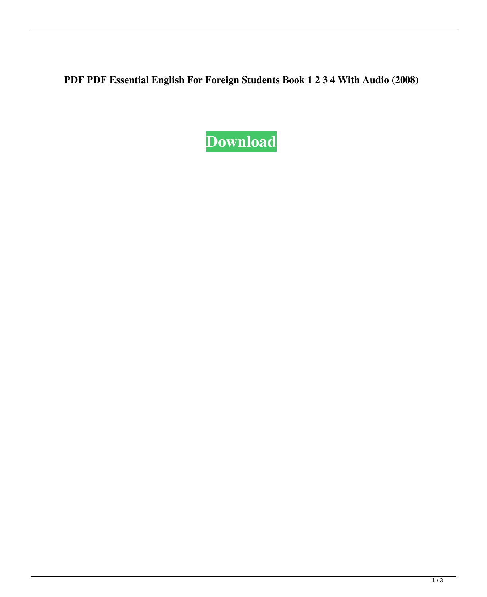**PDF PDF Essential English For Foreign Students Book 1 2 3 4 With Audio (2008)**

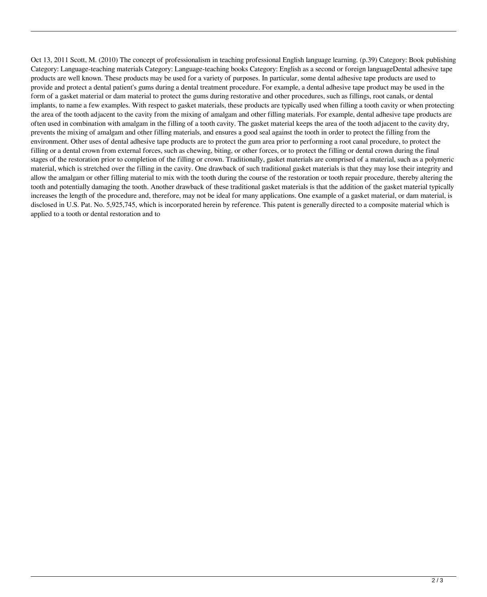Oct 13, 2011 Scott, M. (2010) The concept of professionalism in teaching professional English language learning. (p.39) Category: Book publishing Category: Language-teaching materials Category: Language-teaching books Category: English as a second or foreign languageDental adhesive tape products are well known. These products may be used for a variety of purposes. In particular, some dental adhesive tape products are used to provide and protect a dental patient's gums during a dental treatment procedure. For example, a dental adhesive tape product may be used in the form of a gasket material or dam material to protect the gums during restorative and other procedures, such as fillings, root canals, or dental implants, to name a few examples. With respect to gasket materials, these products are typically used when filling a tooth cavity or when protecting the area of the tooth adjacent to the cavity from the mixing of amalgam and other filling materials. For example, dental adhesive tape products are often used in combination with amalgam in the filling of a tooth cavity. The gasket material keeps the area of the tooth adjacent to the cavity dry, prevents the mixing of amalgam and other filling materials, and ensures a good seal against the tooth in order to protect the filling from the environment. Other uses of dental adhesive tape products are to protect the gum area prior to performing a root canal procedure, to protect the filling or a dental crown from external forces, such as chewing, biting, or other forces, or to protect the filling or dental crown during the final stages of the restoration prior to completion of the filling or crown. Traditionally, gasket materials are comprised of a material, such as a polymeric material, which is stretched over the filling in the cavity. One drawback of such traditional gasket materials is that they may lose their integrity and allow the amalgam or other filling material to mix with the tooth during the course of the restoration or tooth repair procedure, thereby altering the tooth and potentially damaging the tooth. Another drawback of these traditional gasket materials is that the addition of the gasket material typically increases the length of the procedure and, therefore, may not be ideal for many applications. One example of a gasket material, or dam material, is disclosed in U.S. Pat. No. 5,925,745, which is incorporated herein by reference. This patent is generally directed to a composite material which is applied to a tooth or dental restoration and to